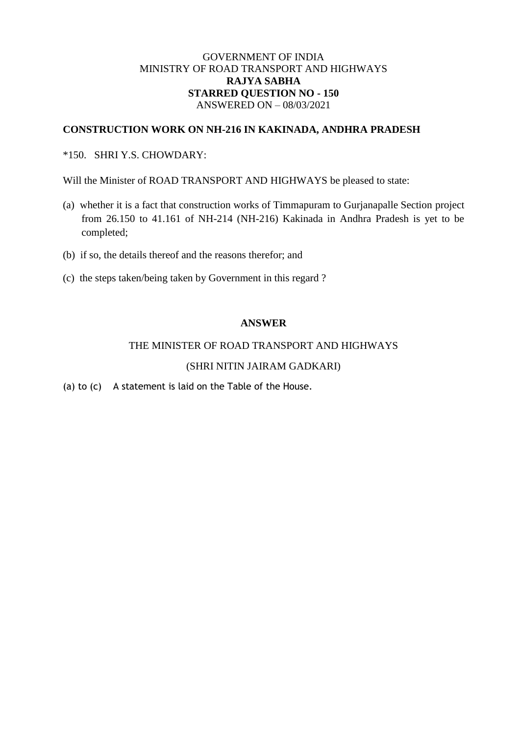## GOVERNMENT OF INDIA MINISTRY OF ROAD TRANSPORT AND HIGHWAYS **RAJYA SABHA STARRED QUESTION NO - 150** ANSWERED ON – 08/03/2021

### **CONSTRUCTION WORK ON NH-216 IN KAKINADA, ANDHRA PRADESH**

## \*150. SHRI Y.S. CHOWDARY:

Will the Minister of ROAD TRANSPORT AND HIGHWAYS be pleased to state:

- (a) whether it is a fact that construction works of Timmapuram to Gurjanapalle Section project from 26.150 to 41.161 of NH-214 (NH-216) Kakinada in Andhra Pradesh is yet to be completed;
- (b) if so, the details thereof and the reasons therefor; and
- (c) the steps taken/being taken by Government in this regard ?

#### **ANSWER**

#### THE MINISTER OF ROAD TRANSPORT AND HIGHWAYS

#### (SHRI NITIN JAIRAM GADKARI)

(a) to (c) A statement is laid on the Table of the House.